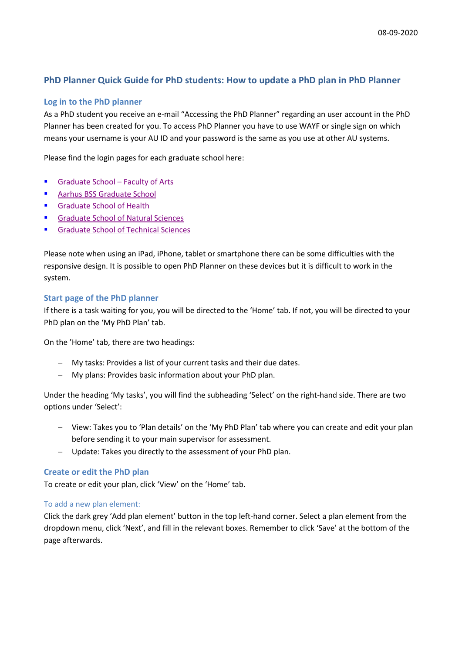# **PhD Planner Quick Guide for PhD students: How to update a PhD plan in PhD Planner**

## **Log in to the PhD planner**

As a PhD student you receive an e-mail "Accessing the PhD Planner" regarding an user account in the PhD Planner has been created for you. To access PhD Planner you have to use WAYF or single sign on which means your username is your AU ID and your password is the same as you use at other AU systems.

Please find the login pages for each graduate school here:

- [Graduate School –](https://psys.au.dk/aphd/students-login/) Faculty of Arts
- Aarhus BSS [Graduate School](https://psys.au.dk/bphd/students-login/)
- **[Graduate School of Health](https://psys.au.dk/hphd/students-login/)**
- **[Graduate School of Natural Sciences](https://psys.au.dk/nphd/students-login/)**
- **[Graduate School of Technical Sciences](https://psys.au.dk/tphd/students-login/)**

Please note when using an iPad, iPhone, tablet or smartphone there can be some difficulties with the responsive design. It is possible to open PhD Planner on these devices but it is difficult to work in the system.

#### **Start page of the PhD planner**

If there is a task waiting for you, you will be directed to the 'Home' tab. If not, you will be directed to your PhD plan on the 'My PhD Plan' tab.

On the 'Home' tab, there are two headings:

- − My tasks: Provides a list of your current tasks and their due dates.
- − My plans: Provides basic information about your PhD plan.

Under the heading 'My tasks', you will find the subheading 'Select' on the right-hand side. There are two options under 'Select':

- − View: Takes you to 'Plan details' on the 'My PhD Plan' tab where you can create and edit your plan before sending it to your main supervisor for assessment.
- Update: Takes you directly to the assessment of your PhD plan.

#### **Create or edit the PhD plan**

To create or edit your plan, click 'View' on the 'Home' tab.

#### To add a new plan element:

Click the dark grey 'Add plan element' button in the top left-hand corner. Select a plan element from the dropdown menu, click 'Next', and fill in the relevant boxes. Remember to click 'Save' at the bottom of the page afterwards.